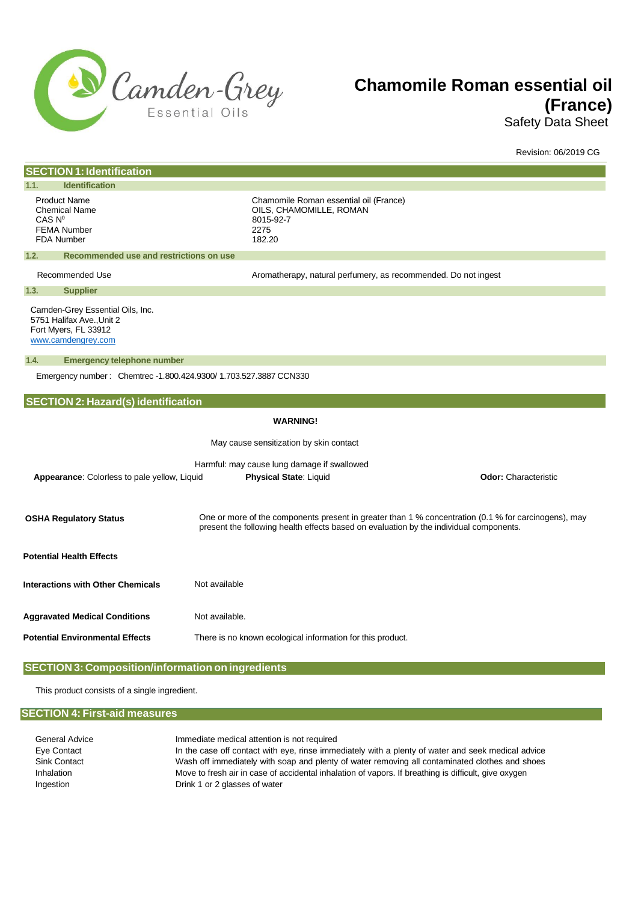

# **Chamomile Roman essential oil (France)**

Safety Data Sheet

|                                                                                                             |                                                                                                                                                                                                | Revision: 06/2019 CG        |
|-------------------------------------------------------------------------------------------------------------|------------------------------------------------------------------------------------------------------------------------------------------------------------------------------------------------|-----------------------------|
| <b>SECTION 1: Identification</b>                                                                            |                                                                                                                                                                                                |                             |
| <b>Identification</b><br>1.1.                                                                               |                                                                                                                                                                                                |                             |
| <b>Product Name</b><br><b>Chemical Name</b><br>CAS N <sup>0</sup><br><b>FEMA Number</b><br>FDA Number       | Chamomile Roman essential oil (France)<br>OILS, CHAMOMILLE, ROMAN<br>8015-92-7<br>2275<br>182.20                                                                                               |                             |
| 1.2.<br>Recommended use and restrictions on use                                                             |                                                                                                                                                                                                |                             |
| Recommended Use                                                                                             | Aromatherapy, natural perfumery, as recommended. Do not ingest                                                                                                                                 |                             |
| <b>Supplier</b><br>1.3.                                                                                     |                                                                                                                                                                                                |                             |
| Camden-Grey Essential Oils, Inc.<br>5751 Halifax Ave., Unit 2<br>Fort Myers, FL 33912<br>www.camdengrey.com |                                                                                                                                                                                                |                             |
| 1.4.<br><b>Emergency telephone number</b>                                                                   |                                                                                                                                                                                                |                             |
| Emergency number: Chemtrec -1.800.424.9300/ 1.703.527.3887 CCN330                                           |                                                                                                                                                                                                |                             |
|                                                                                                             |                                                                                                                                                                                                |                             |
| <b>SECTION 2: Hazard(s) identification</b>                                                                  |                                                                                                                                                                                                |                             |
|                                                                                                             | <b>WARNING!</b>                                                                                                                                                                                |                             |
|                                                                                                             | May cause sensitization by skin contact                                                                                                                                                        |                             |
|                                                                                                             | Harmful: may cause lung damage if swallowed                                                                                                                                                    |                             |
| Appearance: Colorless to pale yellow, Liquid                                                                | Physical State: Liquid                                                                                                                                                                         | <b>Odor:</b> Characteristic |
|                                                                                                             |                                                                                                                                                                                                |                             |
| <b>OSHA Regulatory Status</b>                                                                               | One or more of the components present in greater than 1 % concentration (0.1 % for carcinogens), may<br>present the following health effects based on evaluation by the individual components. |                             |
| <b>Potential Health Effects</b>                                                                             |                                                                                                                                                                                                |                             |
| <b>Interactions with Other Chemicals</b>                                                                    | Not available                                                                                                                                                                                  |                             |
| <b>Aggravated Medical Conditions</b>                                                                        | Not available.                                                                                                                                                                                 |                             |
| <b>Potential Environmental Effects</b>                                                                      | There is no known ecological information for this product.                                                                                                                                     |                             |
|                                                                                                             |                                                                                                                                                                                                |                             |

# **SECTION 3: Composition/information on ingredients**

This product consists of a single ingredient.

# **SECTION 4: First-aid measures**

| General Advice    | Immediate medical attention is not required                                                          |
|-------------------|------------------------------------------------------------------------------------------------------|
| Eye Contact       | In the case off contact with eye, rinse immediately with a plenty of water and seek medical advice   |
| Sink Contact      | Wash off immediately with soap and plenty of water removing all contaminated clothes and shoes       |
| <b>Inhalation</b> | Move to fresh air in case of accidental inhalation of vapors. If breathing is difficult, give oxygen |
| Ingestion         | Drink 1 or 2 glasses of water                                                                        |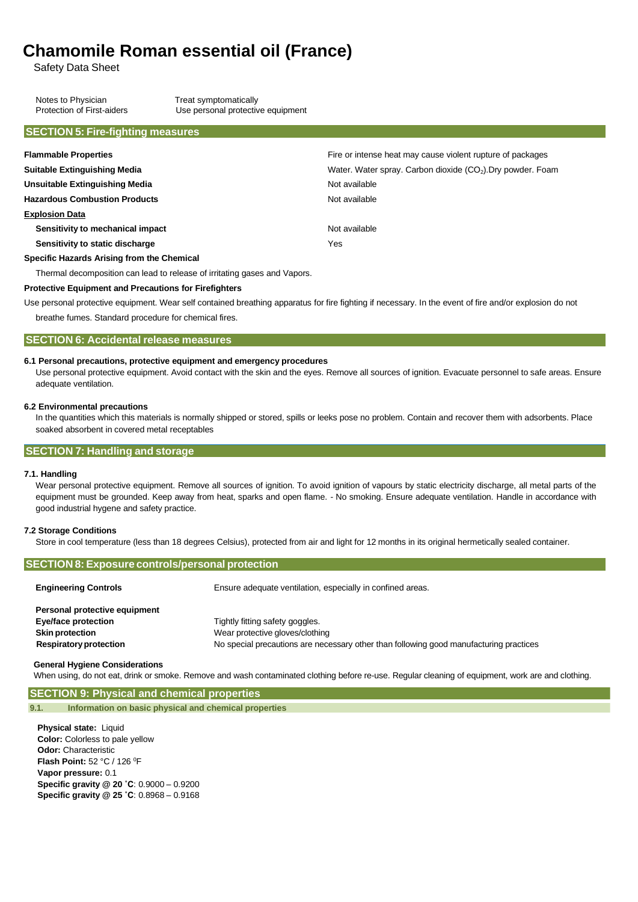# **Chamomile Roman essential oil (France)**

Safety Data Sheet

Notes to Physician Treat symptomatically<br>
Protection of First-aiders Use personal protectiv Use personal protective equipment

## **SECTION 5: Fire-fighting measures**

| <b>Flammable Properties</b>                                               | Fire or intense heat may cause violent rupture of packages              |  |
|---------------------------------------------------------------------------|-------------------------------------------------------------------------|--|
| <b>Suitable Extinguishing Media</b>                                       | Water. Water spray. Carbon dioxide (CO <sub>2</sub> ). Dry powder. Foam |  |
| Unsuitable Extinguishing Media                                            | Not available                                                           |  |
| <b>Hazardous Combustion Products</b>                                      | Not available                                                           |  |
| <b>Explosion Data</b>                                                     |                                                                         |  |
| Sensitivity to mechanical impact                                          | Not available                                                           |  |
| Sensitivity to static discharge                                           | Yes                                                                     |  |
| Specific Hazards Arising from the Chemical                                |                                                                         |  |
| Thermal decomposition can lead to release of irritating gases and Vapors. |                                                                         |  |

## **Protective Equipment and Precautions for Firefighters**

Use personal protective equipment. Wear self contained breathing apparatus for fire fighting if necessary. In the event of fire and/or explosion do not

breathe fumes. Standard procedure for chemical fires.

## **SECTION 6: Accidental release measures**

### **6.1 Personal precautions, protective equipment and emergency procedures**

Use personal protective equipment. Avoid contact with the skin and the eyes. Remove all sources of ignition. Evacuate personnel to safe areas. Ensure adequate ventilation.

## **6.2 Environmental precautions**

In the quantities which this materials is normally shipped or stored, spills or leeks pose no problem. Contain and recover them with adsorbents. Place soaked absorbent in covered metal receptables

### **SECTION 7: Handling and storage**

#### **7.1. Handling**

Wear personal protective equipment. Remove all sources of ignition. To avoid ignition of vapours by static electricity discharge, all metal parts of the equipment must be grounded. Keep away from heat, sparks and open flame. - No smoking. Ensure adequate ventilation. Handle in accordance with good industrial hygene and safety practice.

#### **7.2 Storage Conditions**

Store in cool temperature (less than 18 degrees Celsius), protected from air and light for 12 months in its original hermetically sealed container.

#### **SECTION 8: Exposure controls/personal protection**

| <b>Engineering Controls</b>   | Ensure adequate ventilation, especially in confined areas.                             |  |
|-------------------------------|----------------------------------------------------------------------------------------|--|
| Personal protective equipment |                                                                                        |  |
| Eye/face protection           | Tightly fitting safety goggles.                                                        |  |
| <b>Skin protection</b>        | Wear protective gloves/clothing                                                        |  |
| <b>Respiratory protection</b> | No special precautions are necessary other than following good manufacturing practices |  |

#### **General Hygiene Considerations**

When using, do not eat, drink or smoke. Remove and wash contaminated clothing before re-use. Regular cleaning of equipment, work are and clothing.

## **SECTION 9: Physical and chemical properties**

**9.1. Information on basic physical and chemical properties**

**Physical state:** Liquid **Color:** Colorless to pale yellow **Odor:** Characteristic **Flash Point:** 52 °C / 126 <sup>0</sup>F **Vapor pressure:** 0.1 **Specific gravity @ 20 ˚C**: 0.9000 – 0.9200 **Specific gravity @ 25 ˚C**: 0.8968 – 0.9168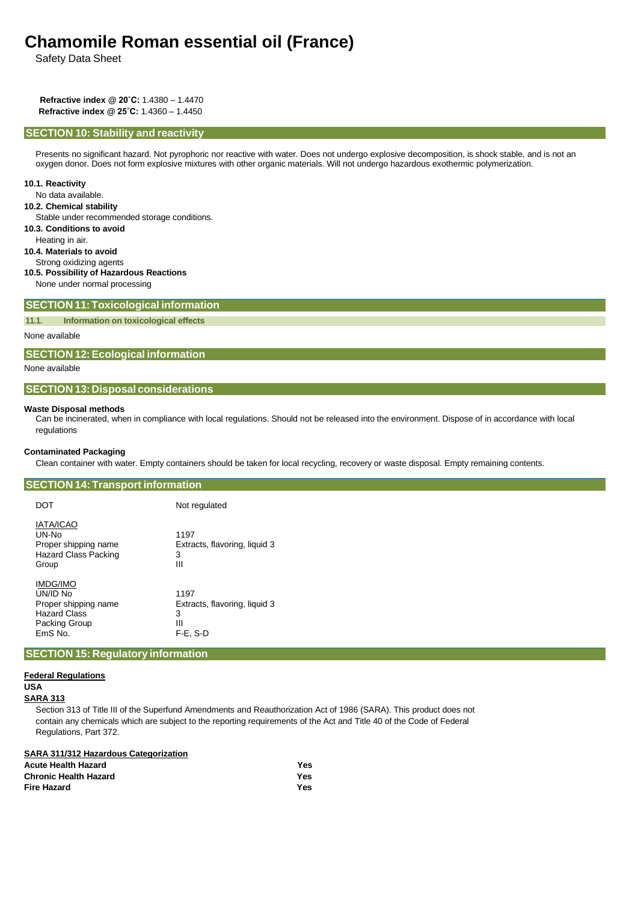# **Chamomile Roman essential oil (France)**

Safety Data Sheet

**Refractive index @ 20˚C:** 1.4380 – 1.4470 **Refractive index @ 25˚C:** 1.4360 – 1.4450

#### **SECTION 10: Stability and reactivity**

Presents no significant hazard. Not pyrophoric nor reactive with water. Does not undergo explosive decomposition, is shock stable, and is not an oxygen donor. Does not form explosive mixtures with other organic materials. Will not undergo hazardous exothermic polymerization.

#### **10.1. Reactivity**

No data available.

#### **10.2. Chemical stability**

Stable under recommended storage conditions.

**10.3. Conditions to avoid**

Heating in air.

**10.4. Materials to avoid**

Strong oxidizing agents

- **10.5. Possibility of Hazardous Reactions**
- None under normal processing

## **SECTION 11:Toxicological information**

**11.1. Information on toxicological effects**

None available

#### **SECTION 12:Ecological information**

None available

## **SECTION 13: Disposal considerations**

#### **Waste Disposal methods**

Can be incinerated, when in compliance with local regulations. Should not be released into the environment. Dispose of in accordance with local regulations

#### **Contaminated Packaging**

Clean container with water. Empty containers should be taken for local recycling, recovery or waste disposal. Empty remaining contents.

## **SECTION 14: Transport information**

| <b>DOT</b>                             |                                                              | Not regulated                                                  |
|----------------------------------------|--------------------------------------------------------------|----------------------------------------------------------------|
| <b>IATA/ICAO</b><br>UN-No<br>Group     | Proper shipping name<br><b>Hazard Class Packing</b>          | 1197<br>Extracts, flavoring, liquid 3<br>3<br>Ш                |
| <b>IMDG/IMO</b><br>UN/ID No<br>EmS No. | Proper shipping name<br><b>Hazard Class</b><br>Packing Group | 1197<br>Extracts, flavoring, liquid 3<br>3<br>Ш<br>$F-E$ , S-D |

## **SECTION 15: Regulatory information**

# **Federal Regulations**

**USA**

**SARA 313**

Section 313 of Title III of the Superfund Amendments and Reauthorization Act of 1986 (SARA). This product does not contain any chemicals which are subject to the reporting requirements of the Act and Title 40 of the Code of Federal Regulations, Part 372.

# **SARA 311/312 Hazardous Categorization**

| <b>Acute Health Hazard</b>   | Yes |
|------------------------------|-----|
| <b>Chronic Health Hazard</b> | Yes |
| <b>Fire Hazard</b>           | Yes |